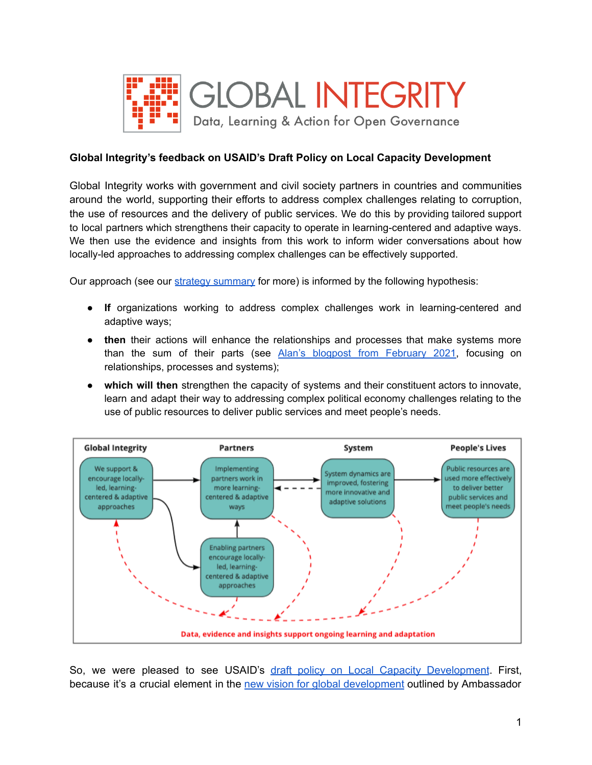

## **Global Integrity's feedback on USAID's Draft Policy on Local Capacity Development**

Global Integrity works with government and civil society partners in countries and communities around the world, supporting their efforts to address complex challenges relating to corruption, the use of resources and the delivery of public services. We do this by providing tailored support to local partners which strengthens their capacity to operate in learning-centered and adaptive ways. We then use the evidence and insights from this work to inform wider conversations about how locally-led approaches to addressing complex challenges can be effectively supported.

Our approach (see our [strategy summary](https://www.globalintegrity.org/wp-content/uploads/2021/04/Global-Integrity-2-Page-Summary-June-2021-1.pdf) for more) is informed by the following hypothesis:

- **If** organizations working to address complex challenges work in learning-centered and adaptive ways;
- **then** their actions will enhance the relationships and processes that make systems more than the sum of their parts (see Alan's blogpost from [February](https://www.globalintegrity.org/2021/02/02/global-integrity-whats-in-a-name/) 2021, focusing on relationships, processes and systems);
- **which will then** strengthen the capacity of systems and their constituent actors to innovate, learn and adapt their way to addressing complex political economy challenges relating to the use of public resources to deliver public services and meet people's needs.



So, we were pleased to see USAID's draft policy on Local Capacity [Development](https://www.usaid.gov/local-capacity-development-policy). First, because it's a crucial element in the new vision for global [development](https://www.usaid.gov/news-information/speeches/nov-4-2021-administrator-samantha-power-new-vision-global-development) outlined by Ambassador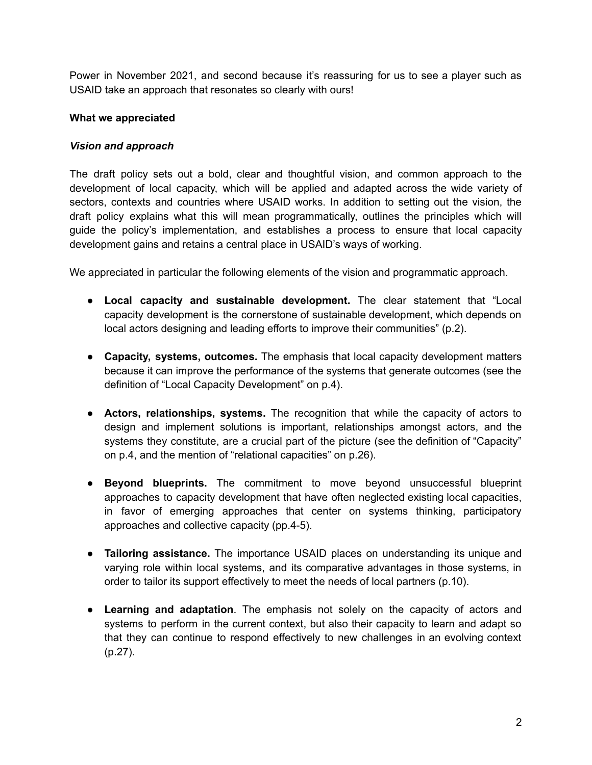Power in November 2021, and second because it's reassuring for us to see a player such as USAID take an approach that resonates so clearly with ours!

### **What we appreciated**

#### *Vision and approach*

The draft policy sets out a bold, clear and thoughtful vision, and common approach to the development of local capacity, which will be applied and adapted across the wide variety of sectors, contexts and countries where USAID works. In addition to setting out the vision, the draft policy explains what this will mean programmatically, outlines the principles which will guide the policy's implementation, and establishes a process to ensure that local capacity development gains and retains a central place in USAID's ways of working.

We appreciated in particular the following elements of the vision and programmatic approach.

- **Local capacity and sustainable development.** The clear statement that "Local capacity development is the cornerstone of sustainable development, which depends on local actors designing and leading efforts to improve their communities" (p.2).
- **Capacity, systems, outcomes.** The emphasis that local capacity development matters because it can improve the performance of the systems that generate outcomes (see the definition of "Local Capacity Development" on p.4).
- **Actors, relationships, systems.** The recognition that while the capacity of actors to design and implement solutions is important, relationships amongst actors, and the systems they constitute, are a crucial part of the picture (see the definition of "Capacity" on p.4, and the mention of "relational capacities" on p.26).
- **Beyond blueprints.** The commitment to move beyond unsuccessful blueprint approaches to capacity development that have often neglected existing local capacities, in favor of emerging approaches that center on systems thinking, participatory approaches and collective capacity (pp.4-5).
- **● Tailoring assistance.** The importance USAID places on understanding its unique and varying role within local systems, and its comparative advantages in those systems, in order to tailor its support effectively to meet the needs of local partners (p.10).
- **Learning and adaptation**. The emphasis not solely on the capacity of actors and systems to perform in the current context, but also their capacity to learn and adapt so that they can continue to respond effectively to new challenges in an evolving context (p.27).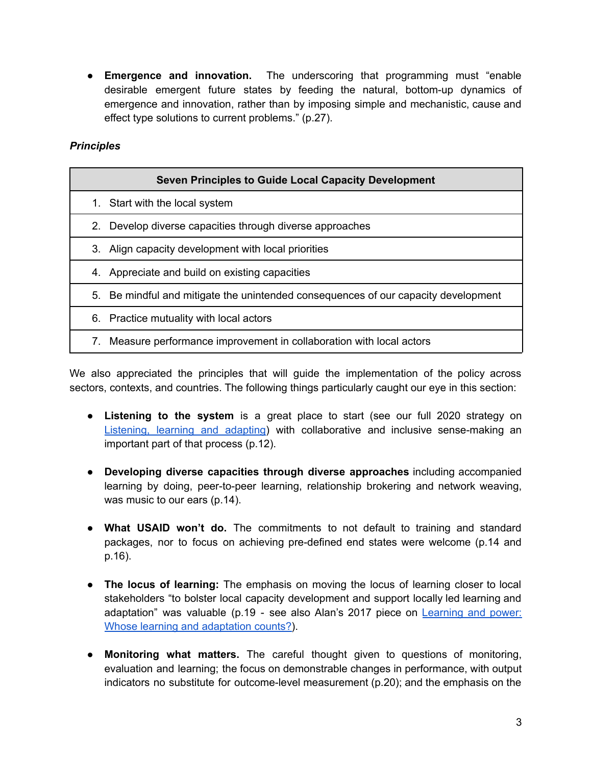**● Emergence and innovation.** The underscoring that programming must "enable desirable emergent future states by feeding the natural, bottom-up dynamics of emergence and innovation, rather than by imposing simple and mechanistic, cause and effect type solutions to current problems." (p.27).

# *Principles*

| <b>Seven Principles to Guide Local Capacity Development</b>                           |
|---------------------------------------------------------------------------------------|
| 1. Start with the local system                                                        |
| Develop diverse capacities through diverse approaches<br>2.                           |
| 3. Align capacity development with local priorities                                   |
| 4. Appreciate and build on existing capacities                                        |
| Be mindful and mitigate the unintended consequences of our capacity development<br>5. |
| 6. Practice mutuality with local actors                                               |
| Measure performance improvement in collaboration with local actors<br>7.              |

We also appreciated the principles that will guide the implementation of the policy across sectors, contexts, and countries. The following things particularly caught our eye in this section:

- **Listening to the system** is a great place to start (see our full 2020 strategy on [Listening,](https://www.globalintegrity.org/2020/04/20/listening-learning-adapting-a-strategy-for-uncertain-times/) learning and adapting) with collaborative and inclusive sense-making an important part of that process (p.12).
- **Developing diverse capacities through diverse approaches** including accompanied learning by doing, peer-to-peer learning, relationship brokering and network weaving, was music to our ears (p.14).
- **● What USAID won't do.** The commitments to not default to training and standard packages, nor to focus on achieving pre-defined end states were welcome (p.14 and p.16).
- **● The locus of learning:** The emphasis on moving the locus of learning closer to local stakeholders "to bolster local capacity development and support locally led learning and adaptation" was valuable (p.19 - see also Alan's 2017 piece on [Learning](https://www.globalintegrity.org/2017/12/05/learning-and-power-or-whose-learning-and-adaptation-counts/) and power: Whose learning and [adaptation](https://www.globalintegrity.org/2017/12/05/learning-and-power-or-whose-learning-and-adaptation-counts/) counts?).
- **● Monitoring what matters.** The careful thought given to questions of monitoring, evaluation and learning; the focus on demonstrable changes in performance, with output indicators no substitute for outcome-level measurement (p.20); and the emphasis on the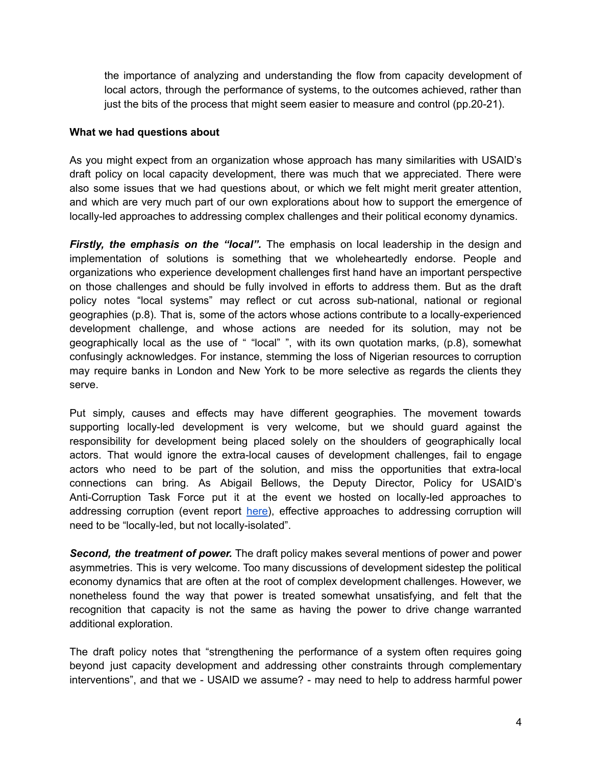the importance of analyzing and understanding the flow from capacity development of local actors, through the performance of systems, to the outcomes achieved, rather than just the bits of the process that might seem easier to measure and control (pp.20-21).

### **What we had questions about**

As you might expect from an organization whose approach has many similarities with USAID's draft policy on local capacity development, there was much that we appreciated. There were also some issues that we had questions about, or which we felt might merit greater attention, and which are very much part of our own explorations about how to support the emergence of locally-led approaches to addressing complex challenges and their political economy dynamics.

*Firstly, the emphasis on the "local".* The emphasis on local leadership in the design and implementation of solutions is something that we wholeheartedly endorse. People and organizations who experience development challenges first hand have an important perspective on those challenges and should be fully involved in efforts to address them. But as the draft policy notes "local systems" may reflect or cut across sub-national, national or regional geographies (p.8). That is, some of the actors whose actions contribute to a locally-experienced development challenge, and whose actions are needed for its solution, may not be geographically local as the use of " "local" ", with its own quotation marks, (p.8), somewhat confusingly acknowledges. For instance, stemming the loss of Nigerian resources to corruption may require banks in London and New York to be more selective as regards the clients they serve.

Put simply, causes and effects may have different geographies. The movement towards supporting locally-led development is very welcome, but we should guard against the responsibility for development being placed solely on the shoulders of geographically local actors. That would ignore the extra-local causes of development challenges, fail to engage actors who need to be part of the solution, and miss the opportunities that extra-local connections can bring. As Abigail Bellows, the Deputy Director, Policy for USAID's Anti-Corruption Task Force put it at the event we hosted on locally-led approaches to addressing corruption (event report [here](https://www.globalintegrity.org/2021/12/21/policy-journeys-and-power-shifts-unlocking-corruption-with-locally-led-solutions/)), effective approaches to addressing corruption will need to be "locally-led, but not locally-isolated".

*Second, the treatment of power.* The draft policy makes several mentions of power and power asymmetries. This is very welcome. Too many discussions of development sidestep the political economy dynamics that are often at the root of complex development challenges. However, we nonetheless found the way that power is treated somewhat unsatisfying, and felt that the recognition that capacity is not the same as having the power to drive change warranted additional exploration.

The draft policy notes that "strengthening the performance of a system often requires going beyond just capacity development and addressing other constraints through complementary interventions", and that we - USAID we assume? - may need to help to address harmful power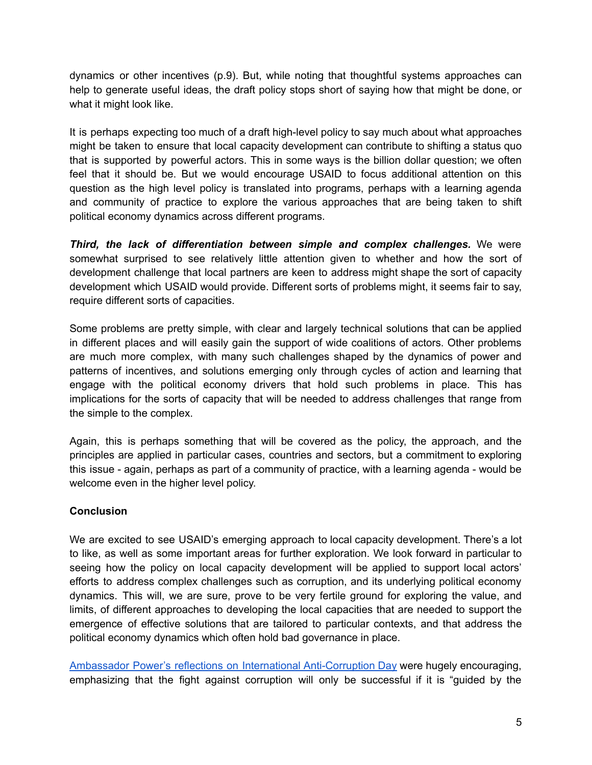dynamics or other incentives (p.9). But, while noting that thoughtful systems approaches can help to generate useful ideas, the draft policy stops short of saying how that might be done, or what it might look like.

It is perhaps expecting too much of a draft high-level policy to say much about what approaches might be taken to ensure that local capacity development can contribute to shifting a status quo that is supported by powerful actors. This in some ways is the billion dollar question; we often feel that it should be. But we would encourage USAID to focus additional attention on this question as the high level policy is translated into programs, perhaps with a learning agenda and community of practice to explore the various approaches that are being taken to shift political economy dynamics across different programs.

*Third, the lack of differentiation between simple and complex challenges.* We were somewhat surprised to see relatively little attention given to whether and how the sort of development challenge that local partners are keen to address might shape the sort of capacity development which USAID would provide. Different sorts of problems might, it seems fair to say, require different sorts of capacities.

Some problems are pretty simple, with clear and largely technical solutions that can be applied in different places and will easily gain the support of wide coalitions of actors. Other problems are much more complex, with many such challenges shaped by the dynamics of power and patterns of incentives, and solutions emerging only through cycles of action and learning that engage with the political economy drivers that hold such problems in place. This has implications for the sorts of capacity that will be needed to address challenges that range from the simple to the complex.

Again, this is perhaps something that will be covered as the policy, the approach, and the principles are applied in particular cases, countries and sectors, but a commitment to exploring this issue - again, perhaps as part of a community of practice, with a learning agenda - would be welcome even in the higher level policy.

# **Conclusion**

We are excited to see USAID's emerging approach to local capacity development. There's a lot to like, as well as some important areas for further exploration. We look forward in particular to seeing how the policy on local capacity development will be applied to support local actors' efforts to address complex challenges such as corruption, and its underlying political economy dynamics. This will, we are sure, prove to be very fertile ground for exploring the value, and limits, of different approaches to developing the local capacities that are needed to support the emergence of effective solutions that are tailored to particular contexts, and that address the political economy dynamics which often hold bad governance in place.

Ambassador Power's reflections on International [Anti-Corruption](https://www.usaid.gov/news-information/press-releases/dec-9-2021-recognizing-international-anti-corruption-day) Day were hugely encouraging, emphasizing that the fight against corruption will only be successful if it is "guided by the